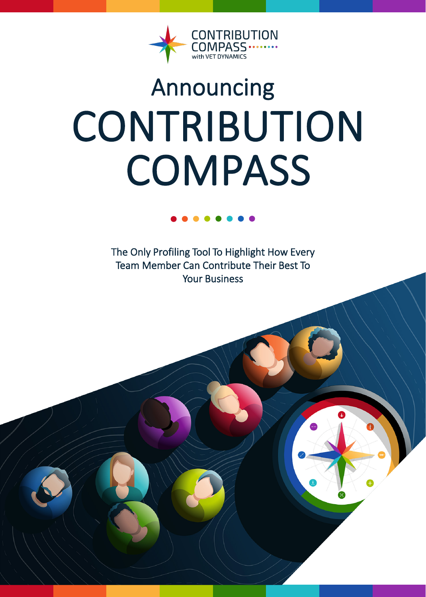

# Announcing CONTRIBUTION **COMPASS**

The Only Profiling Tool To Highlight How Every Team Member Can Contribute Their Best To Your Business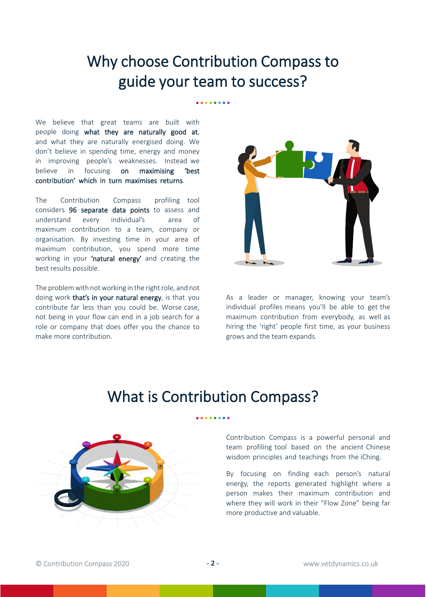## Why choose Contribution Compass to guide your team to success?

We believe that great teams are built with people doing what they are naturally good at, and what they are naturally energised doing. We don't believe in spending time, energy and money in improving people's weaknesses. Instead we believe in focusing on maximising 'best contribution' which in turn maximises returns.

The Contribution Compass profiling tool considers 96 separate data points to assess and understand every individual's area of maximum contribution to a team, company or organisation. By investing time in your area of maximum contribution, you spend more time working in your 'natural energy' and creating the best results possible.

The problem with not working in the right role, and not doing work that's in your natural energy, is that you contribute far less than you could be. Worse case, not being in your flow can end in a job search for a role or company that does offer you the chance to make more contribution.



As a leader or manager, knowing your team's individual profiles means you'll be able to get the maximum contribution from everybody, as well as hiring the 'right' people first time, as your business grows and the team expands.

## What is Contribution Compass?



Contribution Compass is a powerful personal and team profiling tool based on the ancient Chinese wisdom principles and teachings from the iChing.

By focusing on finding each person's natural energy, the reports generated highlight where a person makes their maximum contribution and where they will work in their "Flow Zone" being far more productive and valuable.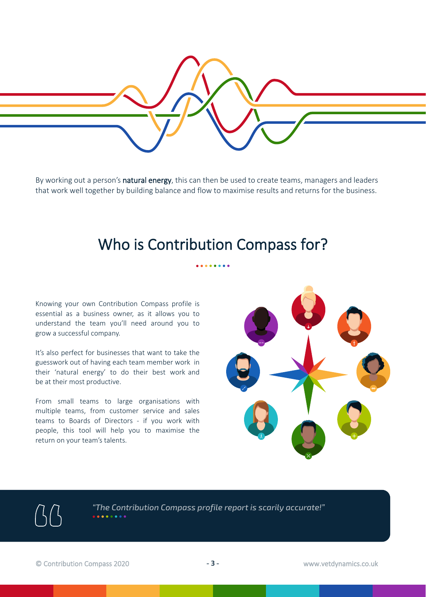

By working out a person's natural energy, this can then be used to create teams, managers and leaders that work well together by building balance and flow to maximise results and returns for the business.

## Who is Contribution Compass for?

. . . . . . . .

Knowing your own Contribution Compass profile is essential as a business owner, as it allows you to understand the team you'll need around you to grow a successful company.

It's also perfect for businesses that want to take the guesswork out of having each team member work in their 'natural energy' to do their best work and be at their most productive.

From small teams to large organisations with multiple teams, from customer service and sales teams to Boards of Directors - if you work with people, this tool will help you to maximise the return on your team's talents.



*"The Contribution Compass profile report is scarily accurate!"*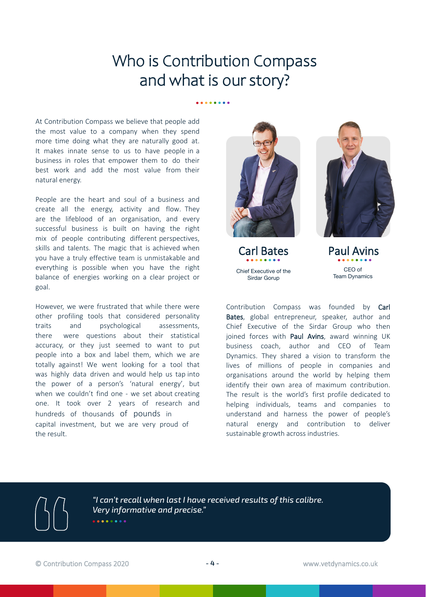## Who is Contribution Compass and what is our story?

. . . . . . . .

At Contribution Compass we believe that people add the most value to a company when they spend more time doing what they are naturally good at. It makes innate sense to us to have people in a business in roles that empower them to do their best work and add the most value from their natural energy.

People are the heart and soul of a business and create all the energy, activity and flow. They are the lifeblood of an organisation, and every successful business is built on having the right mix of people contributing different perspectives, skills and talents. The magic that is achieved when you have a truly effective team is unmistakable and everything is possible when you have the right balance of energies working on a clear project or goal.

However, we were frustrated that while there were other profiling tools that considered personality traits and psychological assessments, there were questions about their statistical accuracy, or they just seemed to want to put people into a box and label them, which we are totally against! We went looking for a tool that was highly data driven and would help us tap into the power of a person's 'natural energy', but when we couldn't find one - we set about creating one. It took over 2 years of research and hundreds of thousands of pounds in capital investment, but we are very proud of the result.









Paul Avins CEO of Team Dynamics

Contribution Compass was founded by Carl Bates, global entrepreneur, speaker, author and Chief Executive of the Sirdar Group who then joined forces with Paul Avins, award winning UK business coach, author and CEO of Team Dynamics. They shared a vision to transform the lives of millions of people in companies and organisations around the world by helping them identify their own area of maximum contribution. The result is the world's first profile dedicated to helping individuals, teams and companies to understand and harness the power of people's natural energy and contribution to deliver sustainable growth across industries.

*"I can't recall when last I have received results of this calibre. Very informative and precise."*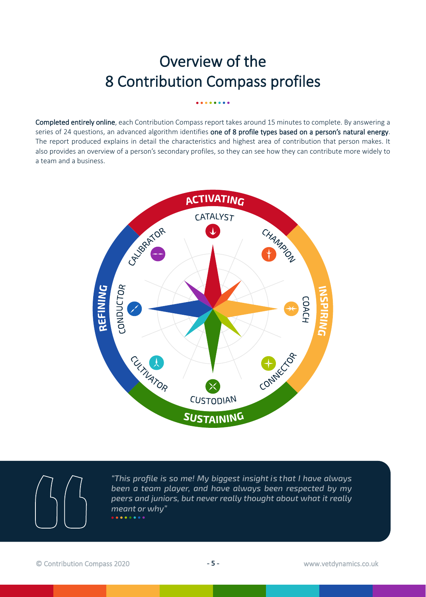# Overview of the 8 Contribution Compass profiles

Completed entirely online, each Contribution Compass report takes around 15 minutes to complete. By answering a series of 24 questions, an advanced algorithm identifies one of 8 profile types based on a person's natural energy. The report produced explains in detail the characteristics and highest area of contribution that person makes. It also provides an overview of a person's secondary profiles, so they can see how they can contribute more widely to a team and a business.





*"This profile is so me! My biggest insight is that I have always been a team player, and have always been respected by my peers and juniors, but never really thought about what it really meant or why"*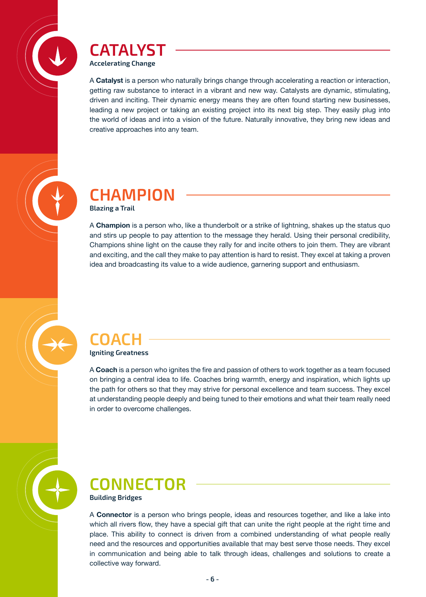

#### **CATALYST Accelerating Change**

A **Catalyst** is a person who naturally brings change through accelerating a reaction or interaction, getting raw substance to interact in a vibrant and new way. Catalysts are dynamic, stimulating, driven and inciting. Their dynamic energy means they are often found starting new businesses, leading a new project or taking an existing project into its next big step. They easily plug into the world of ideas and into a vision of the future. Naturally innovative, they bring new ideas and creative approaches into any team.



#### **CHAMPION Blazing a Trail**

A **Champion** is a person who, like a thunderbolt or a strike of lightning, shakes up the status quo and stirs up people to pay attention to the message they herald. Using their personal credibility, Champions shine light on the cause they rally for and incite others to join them. They are vibrant and exciting, and the call they make to pay attention is hard to resist. They excel at taking a proven idea and broadcasting its value to a wide audience, garnering support and enthusiasm.

#### **COACH Igniting Greatness**

A **Coach** is a person who ignites the fire and passion of others to work together as a team focused on bringing a central idea to life. Coaches bring warmth, energy and inspiration, which lights up the path for others so that they may strive for personal excellence and team success. They excel at understanding people deeply and being tuned to their emotions and what their team really need in order to overcome challenges.



#### **CONNECTOR Building Bridges**

A **Connector** is a person who brings people, ideas and resources together, and like a lake into which all rivers flow, they have a special gift that can unite the right people at the right time and place. This ability to connect is driven from a combined understanding of what people really need and the resources and opportunities available that may best serve those needs. They excel in communication and being able to talk through ideas, challenges and solutions to create a collective way forward.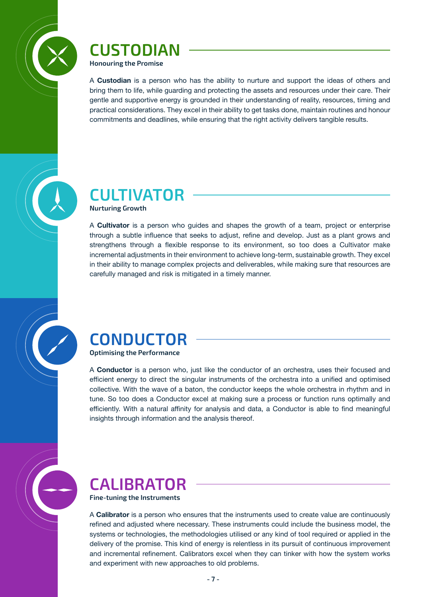

#### **CUSTODIAN Honouring the Promise**

A **Custodian** is a person who has the ability to nurture and support the ideas of others and bring them to life, while guarding and protecting the assets and resources under their care. Their gentle and supportive energy is grounded in their understanding of reality, resources, timing and practical considerations. They excel in their ability to get tasks done, maintain routines and honour commitments and deadlines, while ensuring that the right activity delivers tangible results.



**Nurturing Growth**

A **Cultivator** is a person who guides and shapes the growth of a team, project or enterprise through a subtle influence that seeks to adjust, refine and develop. Just as a plant grows and strengthens through a flexible response to its environment, so too does a Cultivator make incremental adjustments in their environment to achieve long-term, sustainable growth. They excel in their ability to manage complex projects and deliverables, while making sure that resources are carefully managed and risk is mitigated in a timely manner.



A **Conductor** is a person who, just like the conductor of an orchestra, uses their focused and efficient energy to direct the singular instruments of the orchestra into a unified and optimised collective. With the wave of a baton, the conductor keeps the whole orchestra in rhythm and in tune. So too does a Conductor excel at making sure a process or function runs optimally and efficiently. With a natural affinity for analysis and data, a Conductor is able to find meaningful insights through information and the analysis thereof.



# **CALIBRATOR**

**Fine-tuning the Instruments**

A **Calibrator** is a person who ensures that the instruments used to create value are continuously refined and adjusted where necessary. These instruments could include the business model, the systems or technologies, the methodologies utilised or any kind of tool required or applied in the delivery of the promise. This kind of energy is relentless in its pursuit of continuous improvement and incremental refinement. Calibrators excel when they can tinker with how the system works and experiment with new approaches to old problems.